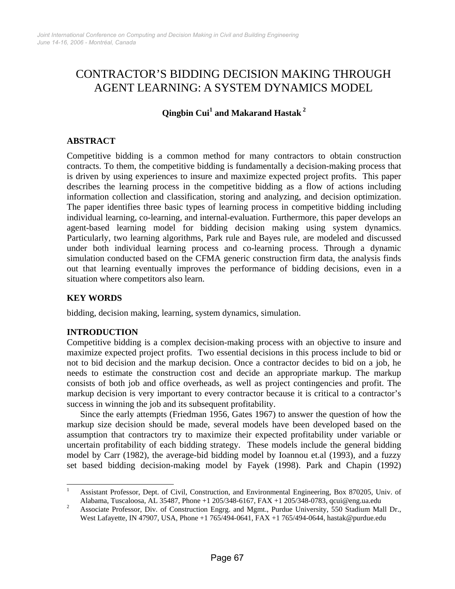# CONTRACTOR'S BIDDING DECISION MAKING THROUGH AGENT LEARNING: A SYSTEM DYNAMICS MODEL

# **Qingbin Cui<sup>1</sup> and Makarand Hastak<sup>2</sup>**

# **ABSTRACT**

Competitive bidding is a common method for many contractors to obtain construction contracts. To them, the competitive bidding is fundamentally a decision-making process that is driven by using experiences to insure and maximize expected project profits. This paper describes the learning process in the competitive bidding as a flow of actions including information collection and classification, storing and analyzing, and decision optimization. The paper identifies three basic types of learning process in competitive bidding including individual learning, co-learning, and internal-evaluation. Furthermore, this paper develops an agent-based learning model for bidding decision making using system dynamics. Particularly, two learning algorithms, Park rule and Bayes rule, are modeled and discussed under both individual learning process and co-learning process. Through a dynamic simulation conducted based on the CFMA generic construction firm data, the analysis finds out that learning eventually improves the performance of bidding decisions, even in a situation where competitors also learn.

# **KEY WORDS**

bidding, decision making, learning, system dynamics, simulation.

# **INTRODUCTION**

Competitive bidding is a complex decision-making process with an objective to insure and maximize expected project profits. Two essential decisions in this process include to bid or not to bid decision and the markup decision. Once a contractor decides to bid on a job, he needs to estimate the construction cost and decide an appropriate markup. The markup consists of both job and office overheads, as well as project contingencies and profit. The markup decision is very important to every contractor because it is critical to a contractor's success in winning the job and its subsequent profitability.

Since the early attempts (Friedman 1956, Gates 1967) to answer the question of how the markup size decision should be made, several models have been developed based on the assumption that contractors try to maximize their expected profitability under variable or uncertain profitability of each bidding strategy. These models include the general bidding model by Carr (1982), the average-bid bidding model by Ioannou et.al (1993), and a fuzzy set based bidding decision-making model by Fayek (1998). Park and Chapin (1992)

 $\frac{1}{1}$  Assistant Professor, Dept. of Civil, Construction, and Environmental Engineering, Box 870205, Univ. of Alabama, Tuscaloosa, AL 35487, Phone +1 205/348-6167, FAX +1 205/348-0783, qcui@eng.ua.edu<br>2 Associate Professor, Div. of Construction Energy and Marti. Burdue University, 550 Stedium Ma

Associate Professor, Div. of Construction Engrg. and Mgmt., Purdue University, 550 Stadium Mall Dr., West Lafayette, IN 47907, USA, Phone +1 765/494-0641, FAX +1 765/494-0644, hastak@purdue.edu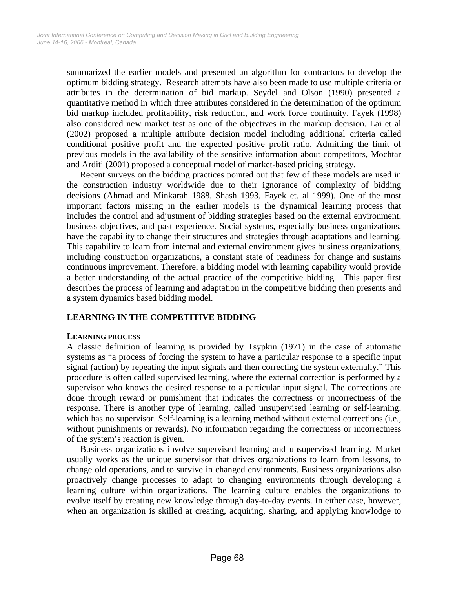summarized the earlier models and presented an algorithm for contractors to develop the optimum bidding strategy. Research attempts have also been made to use multiple criteria or attributes in the determination of bid markup. Seydel and Olson (1990) presented a quantitative method in which three attributes considered in the determination of the optimum bid markup included profitability, risk reduction, and work force continuity. Fayek (1998) also considered new market test as one of the objectives in the markup decision. Lai et al (2002) proposed a multiple attribute decision model including additional criteria called conditional positive profit and the expected positive profit ratio. Admitting the limit of previous models in the availability of the sensitive information about competitors, Mochtar and Arditi (2001) proposed a conceptual model of market-based pricing strategy.

Recent surveys on the bidding practices pointed out that few of these models are used in the construction industry worldwide due to their ignorance of complexity of bidding decisions (Ahmad and Minkarah 1988, Shash 1993, Fayek et. al 1999). One of the most important factors missing in the earlier models is the dynamical learning process that includes the control and adjustment of bidding strategies based on the external environment, business objectives, and past experience. Social systems, especially business organizations, have the capability to change their structures and strategies through adaptations and learning. This capability to learn from internal and external environment gives business organizations, including construction organizations, a constant state of readiness for change and sustains continuous improvement. Therefore, a bidding model with learning capability would provide a better understanding of the actual practice of the competitive bidding. This paper first describes the process of learning and adaptation in the competitive bidding then presents and a system dynamics based bidding model.

# **LEARNING IN THE COMPETITIVE BIDDING**

## **LEARNING PROCESS**

A classic definition of learning is provided by Tsypkin (1971) in the case of automatic systems as "a process of forcing the system to have a particular response to a specific input signal (action) by repeating the input signals and then correcting the system externally." This procedure is often called supervised learning, where the external correction is performed by a supervisor who knows the desired response to a particular input signal. The corrections are done through reward or punishment that indicates the correctness or incorrectness of the response. There is another type of learning, called unsupervised learning or self-learning, which has no supervisor. Self-learning is a learning method without external corrections (i.e., without punishments or rewards). No information regarding the correctness or incorrectness of the system's reaction is given.

Business organizations involve supervised learning and unsupervised learning. Market usually works as the unique supervisor that drives organizations to learn from lessons, to change old operations, and to survive in changed environments. Business organizations also proactively change processes to adapt to changing environments through developing a learning culture within organizations. The learning culture enables the organizations to evolve itself by creating new knowledge through day-to-day events. In either case, however, when an organization is skilled at creating, acquiring, sharing, and applying knowlodge to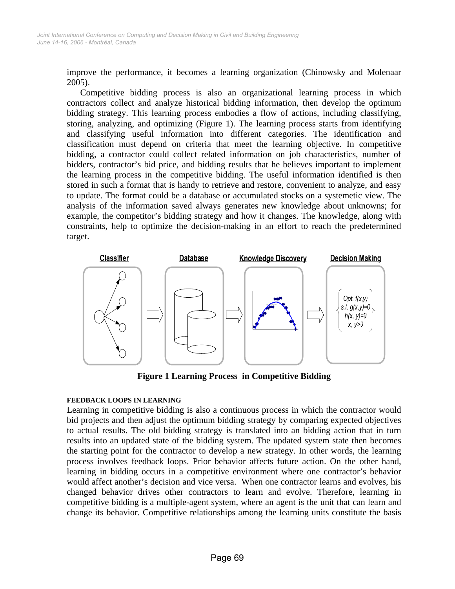improve the performance, it becomes a learning organization (Chinowsky and Molenaar 2005).

Competitive bidding process is also an organizational learning process in which contractors collect and analyze historical bidding information, then develop the optimum bidding strategy. This learning process embodies a flow of actions, including classifying, storing, analyzing, and optimizing (Figure 1). The learning process starts from identifying and classifying useful information into different categories. The identification and classification must depend on criteria that meet the learning objective. In competitive bidding, a contractor could collect related information on job characteristics, number of bidders, contractor's bid price, and bidding results that he believes important to implement the learning process in the competitive bidding. The useful information identified is then stored in such a format that is handy to retrieve and restore, convenient to analyze, and easy to update. The format could be a database or accumulated stocks on a systemetic view. The analysis of the information saved always generates new knowledge about unknowns; for example, the competitor's bidding strategy and how it changes. The knowledge, along with constraints, help to optimize the decision-making in an effort to reach the predetermined target.



**Figure 1 Learning Process in Competitive Bidding** 

## **FEEDBACK LOOPS IN LEARNING**

Learning in competitive bidding is also a continuous process in which the contractor would bid projects and then adjust the optimum bidding strategy by comparing expected objectives to actual results. The old bidding strategy is translated into an bidding action that in turn results into an updated state of the bidding system. The updated system state then becomes the starting point for the contractor to develop a new strategy. In other words, the learning process involves feedback loops. Prior behavior affects future action. On the other hand, learning in bidding occurs in a competitive environment where one contractor's behavior would affect another's decision and vice versa. When one contractor learns and evolves, his changed behavior drives other contractors to learn and evolve. Therefore, learning in competitive bidding is a multiple-agent system, where an agent is the unit that can learn and change its behavior. Competitive relationships among the learning units constitute the basis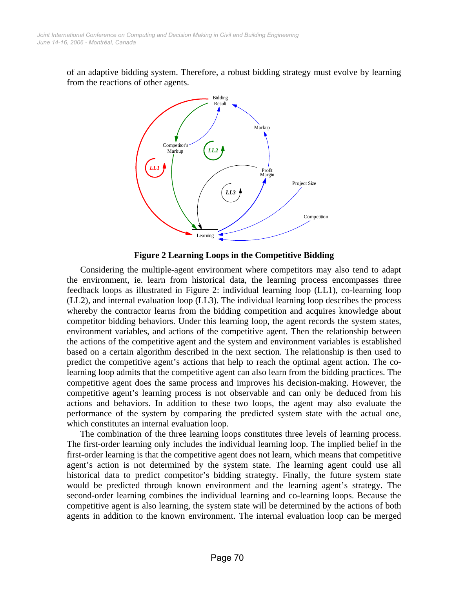of an adaptive bidding system. Therefore, a robust bidding strategy must evolve by learning from the reactions of other agents.



**Figure 2 Learning Loops in the Competitive Bidding** 

Considering the multiple-agent environment where competitors may also tend to adapt the environment, ie. learn from historical data, the learning process encompasses three feedback loops as illustrated in Figure 2: individual learning loop (LL1), co-learning loop (LL2), and internal evaluation loop (LL3). The individual learning loop describes the process whereby the contractor learns from the bidding competition and acquires knowledge about competitor bidding behaviors. Under this learning loop, the agent records the system states, environment variables, and actions of the competitive agent. Then the relationship between the actions of the competitive agent and the system and environment variables is established based on a certain algorithm described in the next section. The relationship is then used to predict the competitive agent's actions that help to reach the optimal agent action. The colearning loop admits that the competitive agent can also learn from the bidding practices. The competitive agent does the same process and improves his decision-making. However, the competitive agent's learning process is not observable and can only be deduced from his actions and behaviors. In addition to these two loops, the agent may also evaluate the performance of the system by comparing the predicted system state with the actual one, which constitutes an internal evaluation loop.

The combination of the three learning loops constitutes three levels of learning process. The first-order learning only includes the individual learning loop. The implied belief in the first-order learning is that the competitive agent does not learn, which means that competitive agent's action is not determined by the system state. The learning agent could use all historical data to predict competitor's bidding strategty. Finally, the future system state would be predicted through known environment and the learning agent's strategy. The second-order learning combines the individual learning and co-learning loops. Because the competitive agent is also learning, the system state will be determined by the actions of both agents in addition to the known environment. The internal evaluation loop can be merged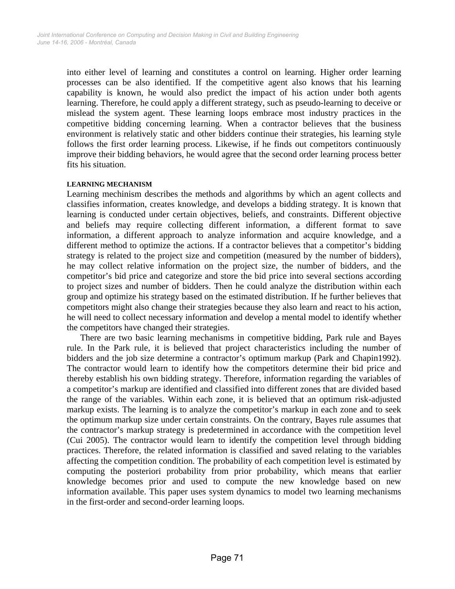into either level of learning and constitutes a control on learning. Higher order learning processes can be also identified. If the competitive agent also knows that his learning capability is known, he would also predict the impact of his action under both agents learning. Therefore, he could apply a different strategy, such as pseudo-learning to deceive or mislead the system agent. These learning loops embrace most industry practices in the competitive bidding concerning learning. When a contractor believes that the business environment is relatively static and other bidders continue their strategies, his learning style follows the first order learning process. Likewise, if he finds out competitors continuously improve their bidding behaviors, he would agree that the second order learning process better fits his situation.

## **LEARNING MECHANISM**

Learning mechinism describes the methods and algorithms by which an agent collects and classifies information, creates knowledge, and develops a bidding strategy. It is known that learning is conducted under certain objectives, beliefs, and constraints. Different objective and beliefs may require collecting different information, a different format to save information, a different approach to analyze information and acquire knowledge, and a different method to optimize the actions. If a contractor believes that a competitor's bidding strategy is related to the project size and competition (measured by the number of bidders), he may collect relative information on the project size, the number of bidders, and the competitor's bid price and categorize and store the bid price into several sections according to project sizes and number of bidders. Then he could analyze the distribution within each group and optimize his strategy based on the estimated distribution. If he further believes that competitors might also change their strategies because they also learn and react to his action, he will need to collect necessary information and develop a mental model to identify whether the competitors have changed their strategies.

There are two basic learning mechanisms in competitive bidding, Park rule and Bayes rule. In the Park rule, it is believed that project characteristics including the number of bidders and the job size determine a contractor's optimum markup (Park and Chapin1992). The contractor would learn to identify how the competitors determine their bid price and thereby establish his own bidding strategy. Therefore, information regarding the variables of a competitor's markup are identified and classified into different zones that are divided based the range of the variables. Within each zone, it is believed that an optimum risk-adjusted markup exists. The learning is to analyze the competitor's markup in each zone and to seek the optimum markup size under certain constraints. On the contrary, Bayes rule assumes that the contractor's markup strategy is predetermined in accordance with the competition level (Cui 2005). The contractor would learn to identify the competition level through bidding practices. Therefore, the related information is classified and saved relating to the variables affecting the competition condition. The probability of each competition level is estimated by computing the posteriori probability from prior probability, which means that earlier knowledge becomes prior and used to compute the new knowledge based on new information available. This paper uses system dynamics to model two learning mechanisms in the first-order and second-order learning loops.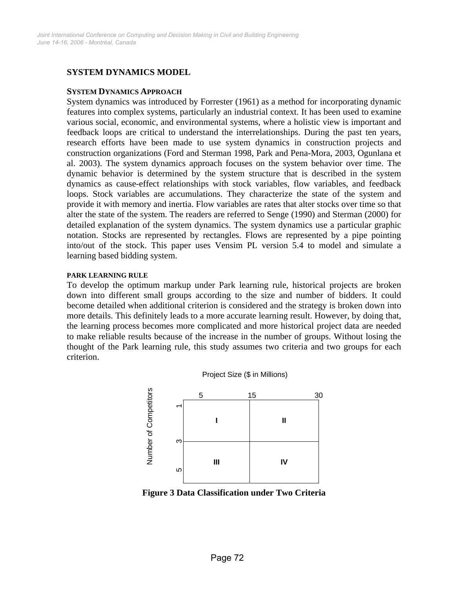# **SYSTEM DYNAMICS MODEL**

#### **SYSTEM DYNAMICS APPROACH**

System dynamics was introduced by Forrester (1961) as a method for incorporating dynamic features into complex systems, particularly an industrial context. It has been used to examine various social, economic, and environmental systems, where a holistic view is important and feedback loops are critical to understand the interrelationships. During the past ten years, research efforts have been made to use system dynamics in construction projects and construction organizations (Ford and Sterman 1998, Park and Pena-Mora, 2003, Ogunlana et al. 2003). The system dynamics approach focuses on the system behavior over time. The dynamic behavior is determined by the system structure that is described in the system dynamics as cause-effect relationships with stock variables, flow variables, and feedback loops. Stock variables are accumulations. They characterize the state of the system and provide it with memory and inertia. Flow variables are rates that alter stocks over time so that alter the state of the system. The readers are referred to Senge (1990) and Sterman (2000) for detailed explanation of the system dynamics. The system dynamics use a particular graphic notation. Stocks are represented by rectangles. Flows are represented by a pipe pointing into/out of the stock. This paper uses Vensim PL version 5.4 to model and simulate a learning based bidding system.

#### **PARK LEARNING RULE**

To develop the optimum markup under Park learning rule, historical projects are broken down into different small groups according to the size and number of bidders. It could become detailed when additional criterion is considered and the strategy is broken down into more details. This definitely leads to a more accurate learning result. However, by doing that, the learning process becomes more complicated and more historical project data are needed to make reliable results because of the increase in the number of groups. Without losing the thought of the Park learning rule, this study assumes two criteria and two groups for each criterion.

Project Size (\$ in Millions)



**Figure 3 Data Classification under Two Criteria**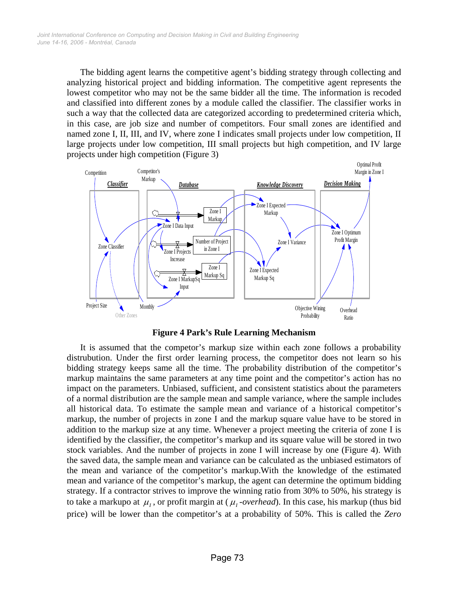The bidding agent learns the competitive agent's bidding strategy through collecting and analyzing historical project and bidding information. The competitive agent represents the lowest competitor who may not be the same bidder all the time. The information is recoded and classified into different zones by a module called the classifier. The classifier works in such a way that the collected data are categorized according to predetermined criteria which, in this case, are job size and number of competitors. Four small zones are identified and named zone I, II, III, and IV, where zone I indicates small projects under low competition, II large projects under low competition, III small projects but high competition, and IV large projects under high competition (Figure 3)



**Figure 4 Park's Rule Learning Mechanism** 

It is assumed that the competor's markup size within each zone follows a probability distrubution. Under the first order learning process, the competitor does not learn so his bidding strategy keeps same all the time. The probability distribution of the competitor's markup maintains the same parameters at any time point and the competitor's action has no impact on the parameters. Unbiased, sufficient, and consistent statistics about the parameters of a normal distribution are the sample mean and sample variance, where the sample includes all historical data. To estimate the sample mean and variance of a historical competitor's markup, the number of projects in zone I and the markup square value have to be stored in addition to the markup size at any time. Whenever a project meeting the criteria of zone I is identified by the classifier, the competitor's markup and its square value will be stored in two stock variables. And the number of projects in zone I will increase by one (Figure 4). With the saved data, the sample mean and variance can be calculated as the unbiased estimators of the mean and variance of the competitor's markup.With the knowledge of the estimated mean and variance of the competitor's markup, the agent can determine the optimum bidding strategy. If a contractor strives to improve the winning ratio from 30% to 50%, his strategy is to take a markupo at  $\mu_1$ , or profit margin at ( $\mu_1$ -overhead). In this case, his markup (thus bid price) will be lower than the competitor's at a probability of 50%. This is called the *Zero*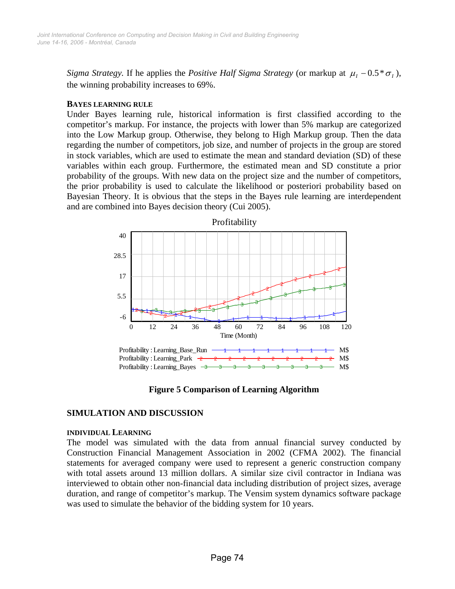*Sigma Strategy.* If he applies the *Positive Half Sigma Strategy* (or markup at  $\mu_1 - 0.5^* \sigma_1$ ), the winning probability increases to 69%.

#### **BAYES LEARNING RULE**

Under Bayes learning rule, historical information is first classified according to the competitor's markup. For instance, the projects with lower than 5% markup are categorized into the Low Markup group. Otherwise, they belong to High Markup group. Then the data regarding the number of competitors, job size, and number of projects in the group are stored in stock variables, which are used to estimate the mean and standard deviation (SD) of these variables within each group. Furthermore, the estimated mean and SD constitute a prior probability of the groups. With new data on the project size and the number of competitors, the prior probability is used to calculate the likelihood or posteriori probability based on Bayesian Theory. It is obvious that the steps in the Bayes rule learning are interdependent and are combined into Bayes decision theory (Cui 2005).



**Figure 5 Comparison of Learning Algorithm** 

# **SIMULATION AND DISCUSSION**

#### **INDIVIDUAL LEARNING**

The model was simulated with the data from annual financial survey conducted by Construction Financial Management Association in 2002 (CFMA 2002). The financial statements for averaged company were used to represent a generic construction company with total assets around 13 million dollars. A similar size civil contractor in Indiana was interviewed to obtain other non-financial data including distribution of project sizes, average duration, and range of competitor's markup. The Vensim system dynamics software package was used to simulate the behavior of the bidding system for 10 years.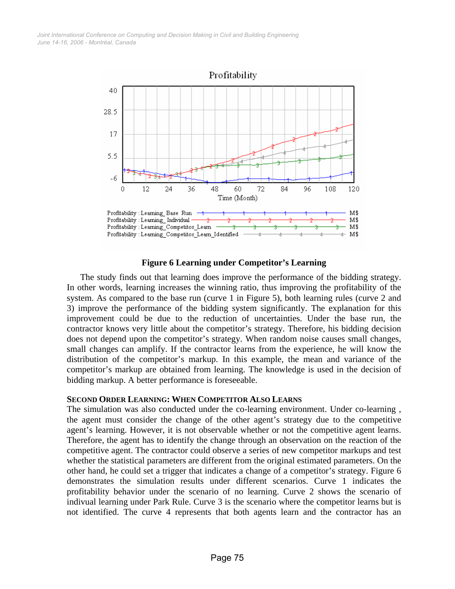*June 14-16, 2006 - Montréal, Canada Joint International Conference on Computing and Decision Making in Civil and Building Engineering*



#### **Figure 6 Learning under Competitor's Learning**

The study finds out that learning does improve the performance of the bidding strategy. In other words, learning increases the winning ratio, thus improving the profitability of the system. As compared to the base run (curve 1 in Figure 5), both learning rules (curve 2 and 3) improve the performance of the bidding system significantly. The explanation for this improvement could be due to the reduction of uncertainties. Under the base run, the contractor knows very little about the competitor's strategy. Therefore, his bidding decision does not depend upon the competitor's strategy. When random noise causes small changes, small changes can amplify. If the contractor learns from the experience, he will know the distribution of the competitor's markup. In this example, the mean and variance of the competitor's markup are obtained from learning. The knowledge is used in the decision of bidding markup. A better performance is foreseeable.

#### **SECOND ORDER LEARNING: WHEN COMPETITOR ALSO LEARNS**

The simulation was also conducted under the co-learning environment. Under co-learning , the agent must consider the change of the other agent's strategy due to the competitive agent's learning. However, it is not observable whether or not the competitive agent learns. Therefore, the agent has to identify the change through an observation on the reaction of the competitive agent. The contractor could observe a series of new competitor markups and test whether the statistical parameters are different from the original estimated parameters. On the other hand, he could set a trigger that indicates a change of a competitor's strategy. Figure 6 demonstrates the simulation results under different scenarios. Curve 1 indicates the profitability behavior under the scenario of no learning. Curve 2 shows the scenario of indivual learning under Park Rule. Curve 3 is the scenario where the competitor learns but is not identified. The curve 4 represents that both agents learn and the contractor has an